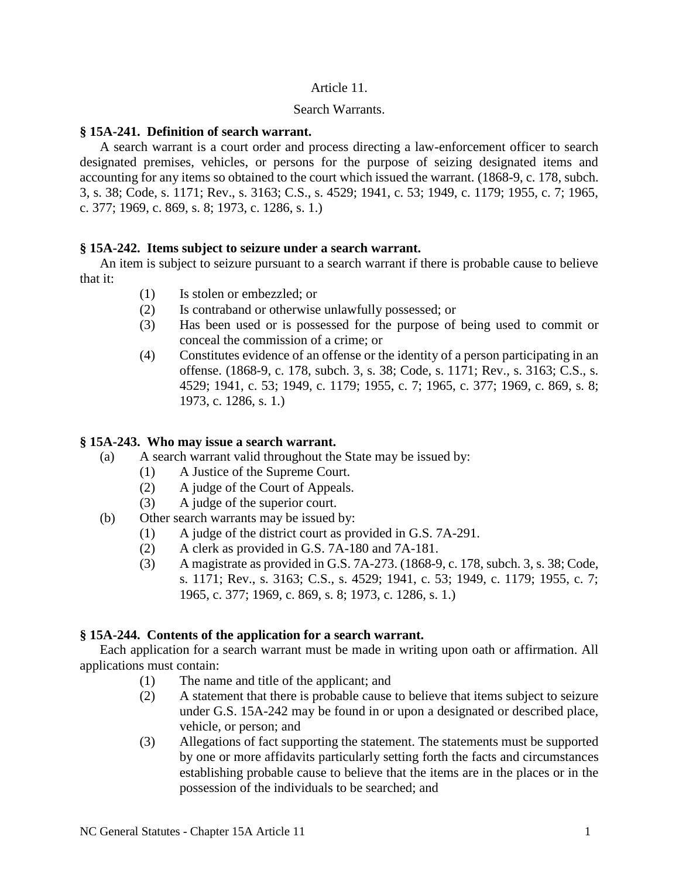## Article 11.

### Search Warrants.

## **§ 15A-241. Definition of search warrant.**

A search warrant is a court order and process directing a law-enforcement officer to search designated premises, vehicles, or persons for the purpose of seizing designated items and accounting for any items so obtained to the court which issued the warrant. (1868-9, c. 178, subch. 3, s. 38; Code, s. 1171; Rev., s. 3163; C.S., s. 4529; 1941, c. 53; 1949, c. 1179; 1955, c. 7; 1965, c. 377; 1969, c. 869, s. 8; 1973, c. 1286, s. 1.)

## **§ 15A-242. Items subject to seizure under a search warrant.**

An item is subject to seizure pursuant to a search warrant if there is probable cause to believe that it:

- (1) Is stolen or embezzled; or
- (2) Is contraband or otherwise unlawfully possessed; or
- (3) Has been used or is possessed for the purpose of being used to commit or conceal the commission of a crime; or
- (4) Constitutes evidence of an offense or the identity of a person participating in an offense. (1868-9, c. 178, subch. 3, s. 38; Code, s. 1171; Rev., s. 3163; C.S., s. 4529; 1941, c. 53; 1949, c. 1179; 1955, c. 7; 1965, c. 377; 1969, c. 869, s. 8; 1973, c. 1286, s. 1.)

# **§ 15A-243. Who may issue a search warrant.**

- (a) A search warrant valid throughout the State may be issued by:
	- (1) A Justice of the Supreme Court.
	- (2) A judge of the Court of Appeals.
	- (3) A judge of the superior court.
- (b) Other search warrants may be issued by:
	- (1) A judge of the district court as provided in G.S. 7A-291.
	- (2) A clerk as provided in G.S. 7A-180 and 7A-181.
	- (3) A magistrate as provided in G.S. 7A-273. (1868-9, c. 178, subch. 3, s. 38; Code, s. 1171; Rev., s. 3163; C.S., s. 4529; 1941, c. 53; 1949, c. 1179; 1955, c. 7; 1965, c. 377; 1969, c. 869, s. 8; 1973, c. 1286, s. 1.)

## **§ 15A-244. Contents of the application for a search warrant.**

Each application for a search warrant must be made in writing upon oath or affirmation. All applications must contain:

- (1) The name and title of the applicant; and
- (2) A statement that there is probable cause to believe that items subject to seizure under G.S. 15A-242 may be found in or upon a designated or described place, vehicle, or person; and
- (3) Allegations of fact supporting the statement. The statements must be supported by one or more affidavits particularly setting forth the facts and circumstances establishing probable cause to believe that the items are in the places or in the possession of the individuals to be searched; and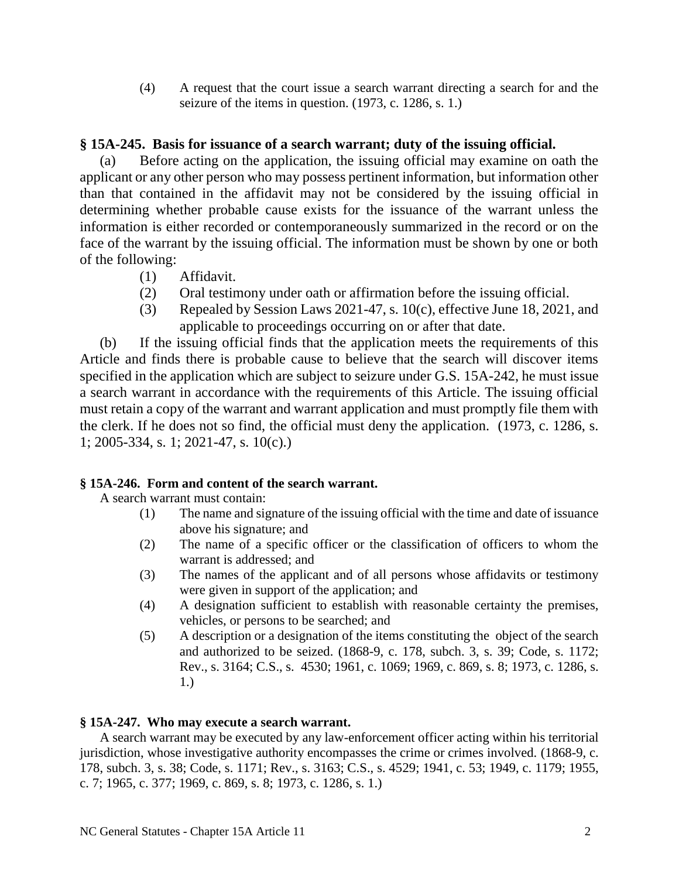(4) A request that the court issue a search warrant directing a search for and the seizure of the items in question. (1973, c. 1286, s. 1.)

# **§ 15A-245. Basis for issuance of a search warrant; duty of the issuing official.**

Before acting on the application, the issuing official may examine on oath the applicant or any other person who may possess pertinent information, but information other than that contained in the affidavit may not be considered by the issuing official in determining whether probable cause exists for the issuance of the warrant unless the information is either recorded or contemporaneously summarized in the record or on the face of the warrant by the issuing official. The information must be shown by one or both of the following:

- (1) Affidavit.
- (2) Oral testimony under oath or affirmation before the issuing official.
- (3) Repealed by Session Laws 2021-47, s. 10(c), effective June 18, 2021, and applicable to proceedings occurring on or after that date.

(b) If the issuing official finds that the application meets the requirements of this Article and finds there is probable cause to believe that the search will discover items specified in the application which are subject to seizure under G.S. 15A-242, he must issue a search warrant in accordance with the requirements of this Article. The issuing official must retain a copy of the warrant and warrant application and must promptly file them with the clerk. If he does not so find, the official must deny the application. (1973, c. 1286, s. 1; 2005-334, s. 1; 2021-47, s. 10(c).)

# **§ 15A-246. Form and content of the search warrant.**

A search warrant must contain:

- (1) The name and signature of the issuing official with the time and date of issuance above his signature; and
- (2) The name of a specific officer or the classification of officers to whom the warrant is addressed; and
- (3) The names of the applicant and of all persons whose affidavits or testimony were given in support of the application; and
- (4) A designation sufficient to establish with reasonable certainty the premises, vehicles, or persons to be searched; and
- (5) A description or a designation of the items constituting the object of the search and authorized to be seized. (1868-9, c. 178, subch. 3, s. 39; Code, s. 1172; Rev., s. 3164; C.S., s. 4530; 1961, c. 1069; 1969, c. 869, s. 8; 1973, c. 1286, s. 1.)

# **§ 15A-247. Who may execute a search warrant.**

A search warrant may be executed by any law-enforcement officer acting within his territorial jurisdiction, whose investigative authority encompasses the crime or crimes involved. (1868-9, c. 178, subch. 3, s. 38; Code, s. 1171; Rev., s. 3163; C.S., s. 4529; 1941, c. 53; 1949, c. 1179; 1955, c. 7; 1965, c. 377; 1969, c. 869, s. 8; 1973, c. 1286, s. 1.)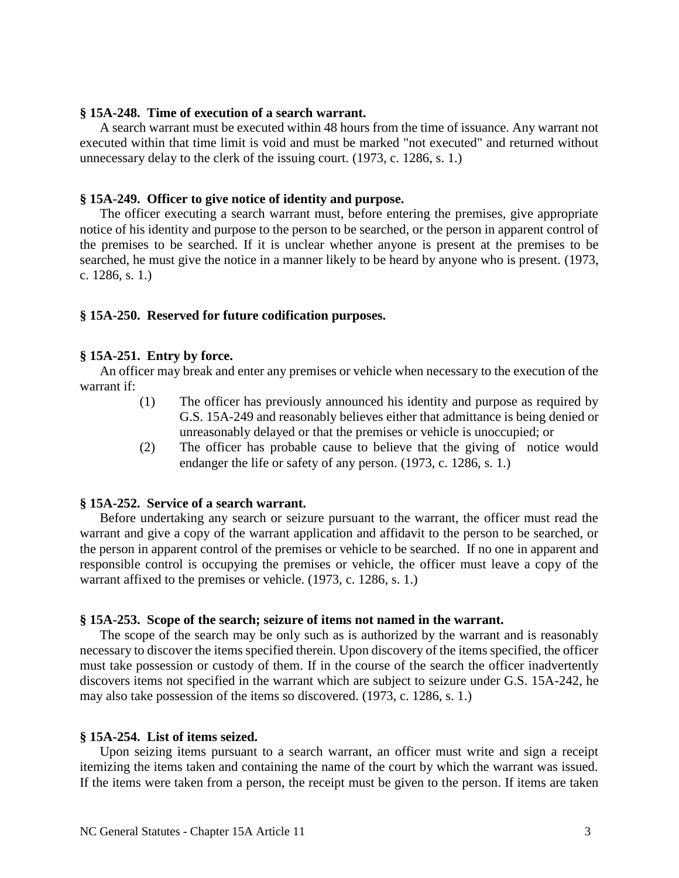### **§ 15A-248. Time of execution of a search warrant.**

A search warrant must be executed within 48 hours from the time of issuance. Any warrant not executed within that time limit is void and must be marked "not executed" and returned without unnecessary delay to the clerk of the issuing court. (1973, c. 1286, s. 1.)

### **§ 15A-249. Officer to give notice of identity and purpose.**

The officer executing a search warrant must, before entering the premises, give appropriate notice of his identity and purpose to the person to be searched, or the person in apparent control of the premises to be searched. If it is unclear whether anyone is present at the premises to be searched, he must give the notice in a manner likely to be heard by anyone who is present. (1973, c. 1286, s. 1.)

### **§ 15A-250. Reserved for future codification purposes.**

### **§ 15A-251. Entry by force.**

An officer may break and enter any premises or vehicle when necessary to the execution of the warrant if:

- (1) The officer has previously announced his identity and purpose as required by G.S. 15A-249 and reasonably believes either that admittance is being denied or unreasonably delayed or that the premises or vehicle is unoccupied; or
- (2) The officer has probable cause to believe that the giving of notice would endanger the life or safety of any person. (1973, c. 1286, s. 1.)

#### **§ 15A-252. Service of a search warrant.**

Before undertaking any search or seizure pursuant to the warrant, the officer must read the warrant and give a copy of the warrant application and affidavit to the person to be searched, or the person in apparent control of the premises or vehicle to be searched. If no one in apparent and responsible control is occupying the premises or vehicle, the officer must leave a copy of the warrant affixed to the premises or vehicle. (1973, c. 1286, s. 1.)

#### **§ 15A-253. Scope of the search; seizure of items not named in the warrant.**

The scope of the search may be only such as is authorized by the warrant and is reasonably necessary to discover the items specified therein. Upon discovery of the items specified, the officer must take possession or custody of them. If in the course of the search the officer inadvertently discovers items not specified in the warrant which are subject to seizure under G.S. 15A-242, he may also take possession of the items so discovered. (1973, c. 1286, s. 1.)

#### **§ 15A-254. List of items seized.**

Upon seizing items pursuant to a search warrant, an officer must write and sign a receipt itemizing the items taken and containing the name of the court by which the warrant was issued. If the items were taken from a person, the receipt must be given to the person. If items are taken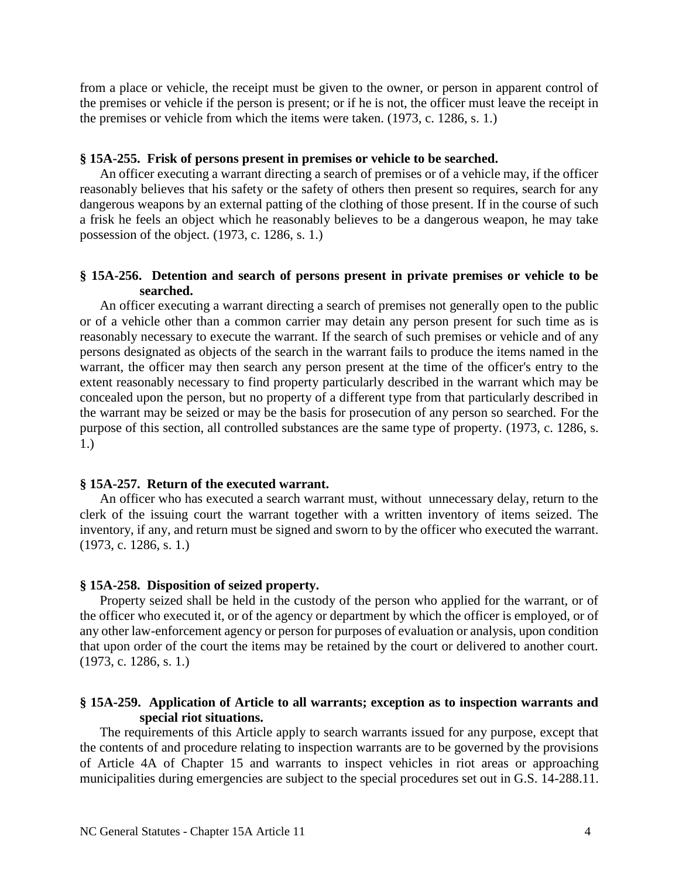from a place or vehicle, the receipt must be given to the owner, or person in apparent control of the premises or vehicle if the person is present; or if he is not, the officer must leave the receipt in the premises or vehicle from which the items were taken. (1973, c. 1286, s. 1.)

#### **§ 15A-255. Frisk of persons present in premises or vehicle to be searched.**

An officer executing a warrant directing a search of premises or of a vehicle may, if the officer reasonably believes that his safety or the safety of others then present so requires, search for any dangerous weapons by an external patting of the clothing of those present. If in the course of such a frisk he feels an object which he reasonably believes to be a dangerous weapon, he may take possession of the object. (1973, c. 1286, s. 1.)

## **§ 15A-256. Detention and search of persons present in private premises or vehicle to be searched.**

An officer executing a warrant directing a search of premises not generally open to the public or of a vehicle other than a common carrier may detain any person present for such time as is reasonably necessary to execute the warrant. If the search of such premises or vehicle and of any persons designated as objects of the search in the warrant fails to produce the items named in the warrant, the officer may then search any person present at the time of the officer's entry to the extent reasonably necessary to find property particularly described in the warrant which may be concealed upon the person, but no property of a different type from that particularly described in the warrant may be seized or may be the basis for prosecution of any person so searched. For the purpose of this section, all controlled substances are the same type of property. (1973, c. 1286, s. 1.)

### **§ 15A-257. Return of the executed warrant.**

An officer who has executed a search warrant must, without unnecessary delay, return to the clerk of the issuing court the warrant together with a written inventory of items seized. The inventory, if any, and return must be signed and sworn to by the officer who executed the warrant. (1973, c. 1286, s. 1.)

### **§ 15A-258. Disposition of seized property.**

Property seized shall be held in the custody of the person who applied for the warrant, or of the officer who executed it, or of the agency or department by which the officer is employed, or of any other law-enforcement agency or person for purposes of evaluation or analysis, upon condition that upon order of the court the items may be retained by the court or delivered to another court. (1973, c. 1286, s. 1.)

## **§ 15A-259. Application of Article to all warrants; exception as to inspection warrants and special riot situations.**

The requirements of this Article apply to search warrants issued for any purpose, except that the contents of and procedure relating to inspection warrants are to be governed by the provisions of Article 4A of Chapter 15 and warrants to inspect vehicles in riot areas or approaching municipalities during emergencies are subject to the special procedures set out in G.S. 14-288.11.